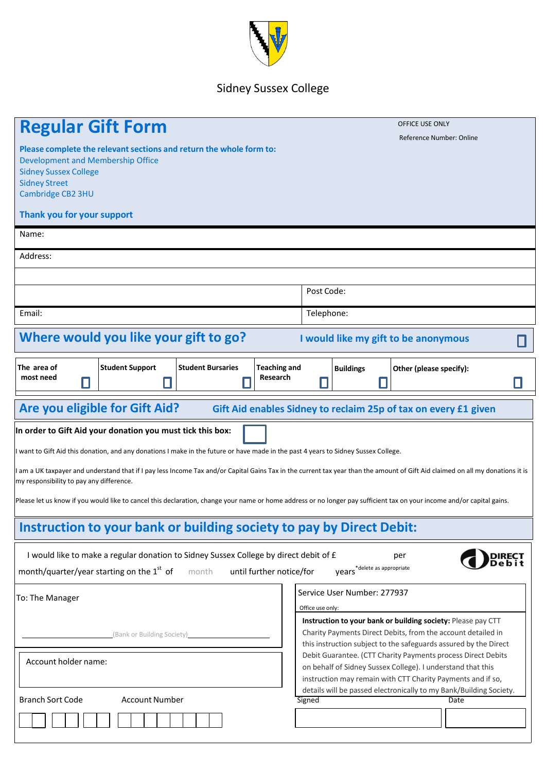

## Sidney Sussex College

| <b>Regular Gift Form</b>                                                                                                                                                                                                                                                                                                                                                                                                                                                                                                                                                                                  | OFFICE USE ONLY<br>Reference Number: Online                                                                                                                                                                                                                                                                                          |  |
|-----------------------------------------------------------------------------------------------------------------------------------------------------------------------------------------------------------------------------------------------------------------------------------------------------------------------------------------------------------------------------------------------------------------------------------------------------------------------------------------------------------------------------------------------------------------------------------------------------------|--------------------------------------------------------------------------------------------------------------------------------------------------------------------------------------------------------------------------------------------------------------------------------------------------------------------------------------|--|
| Please complete the relevant sections and return the whole form to:<br>Development and Membership Office<br><b>Sidney Sussex College</b><br><b>Sidney Street</b><br>Cambridge CB2 3HU                                                                                                                                                                                                                                                                                                                                                                                                                     |                                                                                                                                                                                                                                                                                                                                      |  |
| Thank you for your support                                                                                                                                                                                                                                                                                                                                                                                                                                                                                                                                                                                |                                                                                                                                                                                                                                                                                                                                      |  |
| Name:                                                                                                                                                                                                                                                                                                                                                                                                                                                                                                                                                                                                     |                                                                                                                                                                                                                                                                                                                                      |  |
| Address:                                                                                                                                                                                                                                                                                                                                                                                                                                                                                                                                                                                                  |                                                                                                                                                                                                                                                                                                                                      |  |
|                                                                                                                                                                                                                                                                                                                                                                                                                                                                                                                                                                                                           |                                                                                                                                                                                                                                                                                                                                      |  |
|                                                                                                                                                                                                                                                                                                                                                                                                                                                                                                                                                                                                           | Post Code:                                                                                                                                                                                                                                                                                                                           |  |
| Email:                                                                                                                                                                                                                                                                                                                                                                                                                                                                                                                                                                                                    | Telephone:                                                                                                                                                                                                                                                                                                                           |  |
| Where would you like your gift to go?                                                                                                                                                                                                                                                                                                                                                                                                                                                                                                                                                                     | I would like my gift to be anonymous                                                                                                                                                                                                                                                                                                 |  |
| The area of<br><b>Student Support</b><br><b>Student Bursaries</b><br><b>Teaching and</b><br>most need<br>Research                                                                                                                                                                                                                                                                                                                                                                                                                                                                                         | <b>Buildings</b><br>Other (please specify):                                                                                                                                                                                                                                                                                          |  |
| Are you eligible for Gift Aid?<br>Gift Aid enables Sidney to reclaim 25p of tax on every £1 given                                                                                                                                                                                                                                                                                                                                                                                                                                                                                                         |                                                                                                                                                                                                                                                                                                                                      |  |
| In order to Gift Aid your donation you must tick this box:<br>I want to Gift Aid this donation, and any donations I make in the future or have made in the past 4 years to Sidney Sussex College.<br>I am a UK taxpayer and understand that if I pay less Income Tax and/or Capital Gains Tax in the current tax year than the amount of Gift Aid claimed on all my donations it is<br>my responsibility to pay any difference.<br>Please let us know if you would like to cancel this declaration, change your name or home address or no longer pay sufficient tax on your income and/or capital gains. |                                                                                                                                                                                                                                                                                                                                      |  |
| Instruction to your bank or building society to pay by Direct Debit:                                                                                                                                                                                                                                                                                                                                                                                                                                                                                                                                      |                                                                                                                                                                                                                                                                                                                                      |  |
| I would like to make a regular donation to Sidney Sussex College by direct debit of £<br>per<br>years <sup>*delete</sup> as appropriate<br>month/quarter/year starting on the 1 <sup>st</sup> of<br>until further notice/for<br>month                                                                                                                                                                                                                                                                                                                                                                     |                                                                                                                                                                                                                                                                                                                                      |  |
| To: The Manager<br>(Bank or Building Society)                                                                                                                                                                                                                                                                                                                                                                                                                                                                                                                                                             | Service User Number: 277937<br>Office use only:<br>Instruction to your bank or building society: Please pay CTT<br>Charity Payments Direct Debits, from the account detailed in                                                                                                                                                      |  |
| Account holder name:                                                                                                                                                                                                                                                                                                                                                                                                                                                                                                                                                                                      | this instruction subject to the safeguards assured by the Direct<br>Debit Guarantee. (CTT Charity Payments process Direct Debits<br>on behalf of Sidney Sussex College). I understand that this<br>instruction may remain with CTT Charity Payments and if so,<br>details will be passed electronically to my Bank/Building Society. |  |
| <b>Branch Sort Code</b><br><b>Account Number</b>                                                                                                                                                                                                                                                                                                                                                                                                                                                                                                                                                          | Signed<br>Date                                                                                                                                                                                                                                                                                                                       |  |
|                                                                                                                                                                                                                                                                                                                                                                                                                                                                                                                                                                                                           |                                                                                                                                                                                                                                                                                                                                      |  |